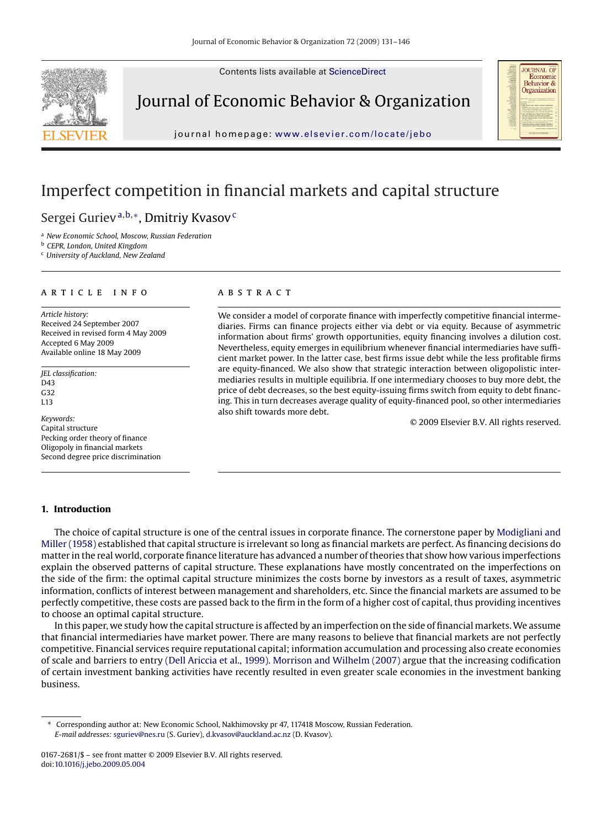Contents lists available at [ScienceDirect](http://www.sciencedirect.com/science/journal/01672681)



Journal of Economic Behavior & Organization



journal homepage: [www.elsevier.com/locate/jebo](http://www.elsevier.com/locate/jebo)

## Imperfect competition in financial markets and capital structure

### Sergei Guriev<sup>a,b,∗</sup>, Dmitriy Kvasov<sup>c</sup>

<sup>a</sup> *New Economic School, Moscow, Russian Federation*

<sup>b</sup> *CEPR, London, United Kingdom*

<sup>c</sup> *University of Auckland, New Zealand*

#### article info

*Article history:* Received 24 September 2007 Received in revised form 4 May 2009 Accepted 6 May 2009 Available online 18 May 2009

*JEL classification:* D43 G32 L13

*Keywords:* Capital structure Pecking order theory of finance Oligopoly in financial markets Second degree price discrimination

#### ABSTRACT

We consider a model of corporate finance with imperfectly competitive financial intermediaries. Firms can finance projects either via debt or via equity. Because of asymmetric information about firms' growth opportunities, equity financing involves a dilution cost. Nevertheless, equity emerges in equilibrium whenever financial intermediaries have sufficient market power. In the latter case, best firms issue debt while the less profitable firms are equity-financed. We also show that strategic interaction between oligopolistic intermediaries results in multiple equilibria. If one intermediary chooses to buy more debt, the price of debt decreases, so the best equity-issuing firms switch from equity to debt financing. This in turn decreases average quality of equity-financed pool, so other intermediaries also shift towards more debt.

© 2009 Elsevier B.V. All rights reserved.

#### **1. Introduction**

The choice of capital structure is one of the central issues in corporate finance. The cornerstone paper by [Modigliani and](#page--1-0) [Miller \(1958\)](#page--1-0) established that capital structure is irrelevant so long as financial markets are perfect. As financing decisions do matter in the real world, corporate finance literature has advanced a number of theories that show how various imperfections explain the observed patterns of capital structure. These explanations have mostly concentrated on the imperfections on the side of the firm: the optimal capital structure minimizes the costs borne by investors as a result of taxes, asymmetric information, conflicts of interest between management and shareholders, etc. Since the financial markets are assumed to be perfectly competitive, these costs are passed back to the firm in the form of a higher cost of capital, thus providing incentives to choose an optimal capital structure.

In this paper, we study how the capital structure is affected by an imperfection on the side of financial markets. We assume that financial intermediaries have market power. There are many reasons to believe that financial markets are not perfectly competitive. Financial services require reputational capital; information accumulation and processing also create economies of scale and barriers to entry [\(Dell Ariccia et al., 1999\).](#page--1-0) [Morrison and Wilhelm \(2007\)](#page--1-0) argue that the increasing codification of certain investment banking activities have recently resulted in even greater scale economies in the investment banking business.

<sup>∗</sup> Corresponding author at: New Economic School, Nakhimovsky pr 47, 117418 Moscow, Russian Federation. *E-mail addresses:* [sguriev@nes.ru](mailto:sguriev@nes.ru) (S. Guriev), [d.kvasov@auckland.ac.nz](mailto:d.kvasov@auckland.ac.nz) (D. Kvasov).

<sup>0167-2681/\$ –</sup> see front matter © 2009 Elsevier B.V. All rights reserved. doi:[10.1016/j.jebo.2009.05.004](dx.doi.org/10.1016/j.jebo.2009.05.004)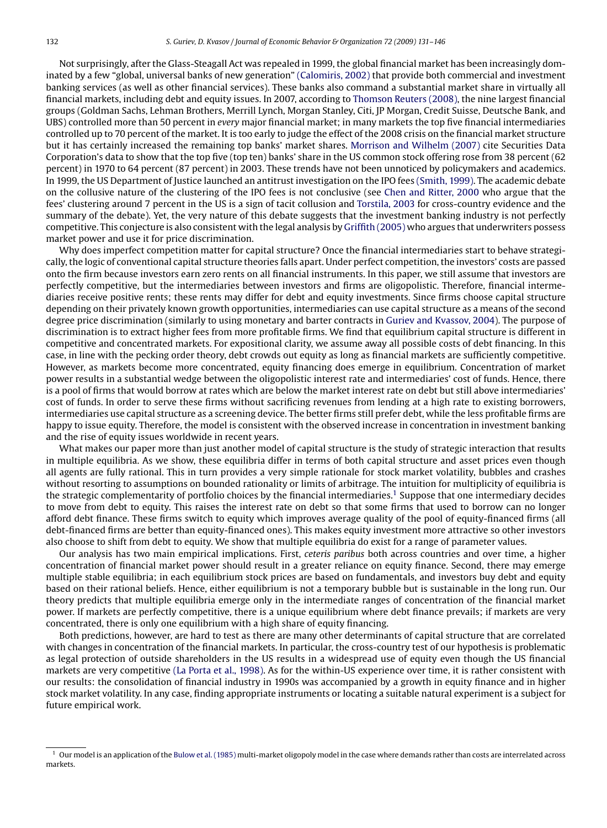Not surprisingly, after the Glass-Steagall Act was repealed in 1999, the global financial market has been increasingly dominated by a few "global, universal banks of new generation" [\(Calomiris, 2002\)](#page--1-0) that provide both commercial and investment banking services (as well as other financial services). These banks also command a substantial market share in virtually all financial markets, including debt and equity issues. In 2007, according to [Thomson Reuters \(2008\), t](#page--1-0)he nine largest financial groups (Goldman Sachs, Lehman Brothers, Merrill Lynch, Morgan Stanley, Citi, JP Morgan, Credit Suisse, Deutsche Bank, and UBS) controlled more than 50 percent in *every* major financial market; in many markets the top five financial intermediaries controlled up to 70 percent of the market. It is too early to judge the effect of the 2008 crisis on the financial market structure but it has certainly increased the remaining top banks' market shares. [Morrison and Wilhelm \(2007\)](#page--1-0) cite Securities Data Corporation's data to show that the top five (top ten) banks' share in the US common stock offering rose from 38 percent (62 percent) in 1970 to 64 percent (87 percent) in 2003. These trends have not been unnoticed by policymakers and academics. In 1999, the US Department of Justice launched an antitrust investigation on the IPO fees [\(Smith, 1999\). T](#page--1-0)he academic debate on the collusive nature of the clustering of the IPO fees is not conclusive (see [Chen and Ritter, 2000](#page--1-0) who argue that the fees' clustering around 7 percent in the US is a sign of tacit collusion and [Torstila, 2003](#page--1-0) for cross-country evidence and the summary of the debate). Yet, the very nature of this debate suggests that the investment banking industry is not perfectly competitive. This conjecture is also consistent with the legal analysis by [Griffith \(2005\)](#page--1-0) who argues that underwriters possess market power and use it for price discrimination.

Why does imperfect competition matter for capital structure? Once the financial intermediaries start to behave strategically, the logic of conventional capital structure theories falls apart. Under perfect competition, the investors' costs are passed onto the firm because investors earn zero rents on all financial instruments. In this paper, we still assume that investors are perfectly competitive, but the intermediaries between investors and firms are oligopolistic. Therefore, financial intermediaries receive positive rents; these rents may differ for debt and equity investments. Since firms choose capital structure depending on their privately known growth opportunities, intermediaries can use capital structure as a means of the second degree price discrimination (similarly to using monetary and barter contracts in [Guriev and Kvassov, 2004\).](#page--1-0) The purpose of discrimination is to extract higher fees from more profitable firms. We find that equilibrium capital structure is different in competitive and concentrated markets. For expositional clarity, we assume away all possible costs of debt financing. In this case, in line with the pecking order theory, debt crowds out equity as long as financial markets are sufficiently competitive. However, as markets become more concentrated, equity financing does emerge in equilibrium. Concentration of market power results in a substantial wedge between the oligopolistic interest rate and intermediaries' cost of funds. Hence, there is a pool of firms that would borrow at rates which are below the market interest rate on debt but still above intermediaries' cost of funds. In order to serve these firms without sacrificing revenues from lending at a high rate to existing borrowers, intermediaries use capital structure as a screening device. The better firms still prefer debt, while the less profitable firms are happy to issue equity. Therefore, the model is consistent with the observed increase in concentration in investment banking and the rise of equity issues worldwide in recent years.

What makes our paper more than just another model of capital structure is the study of strategic interaction that results in multiple equilibria. As we show, these equilibria differ in terms of both capital structure and asset prices even though all agents are fully rational. This in turn provides a very simple rationale for stock market volatility, bubbles and crashes without resorting to assumptions on bounded rationality or limits of arbitrage. The intuition for multiplicity of equilibria is the strategic complementarity of portfolio choices by the financial intermediaries.<sup>1</sup> Suppose that one intermediary decides to move from debt to equity. This raises the interest rate on debt so that some firms that used to borrow can no longer afford debt finance. These firms switch to equity which improves average quality of the pool of equity-financed firms (all debt-financed firms are better than equity-financed ones). This makes equity investment more attractive so other investors also choose to shift from debt to equity. We show that multiple equilibria do exist for a range of parameter values.

Our analysis has two main empirical implications. First, *ceteris paribus* both across countries and over time, a higher concentration of financial market power should result in a greater reliance on equity finance. Second, there may emerge multiple stable equilibria; in each equilibrium stock prices are based on fundamentals, and investors buy debt and equity based on their rational beliefs. Hence, either equilibrium is not a temporary bubble but is sustainable in the long run. Our theory predicts that multiple equilibria emerge only in the intermediate ranges of concentration of the financial market power. If markets are perfectly competitive, there is a unique equilibrium where debt finance prevails; if markets are very concentrated, there is only one equilibrium with a high share of equity financing.

Both predictions, however, are hard to test as there are many other determinants of capital structure that are correlated with changes in concentration of the financial markets. In particular, the cross-country test of our hypothesis is problematic as legal protection of outside shareholders in the US results in a widespread use of equity even though the US financial markets are very competitive [\(La Porta et al., 1998\). A](#page--1-0)s for the within-US experience over time, it is rather consistent with our results: the consolidation of financial industry in 1990s was accompanied by a growth in equity finance and in higher stock market volatility. In any case, finding appropriate instruments or locating a suitable natural experiment is a subject for future empirical work.

<sup>1</sup> Our model is an application of the [Bulow et al. \(1985\)](#page--1-0) multi-market oligopoly model in the case where demands rather than costs are interrelated across markets.